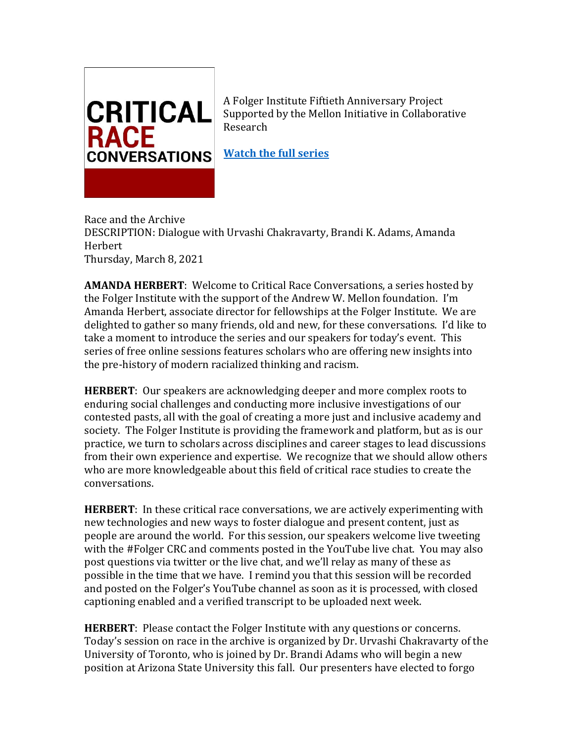

A Folger Institute Fiftieth Anniversary Project Supported by the Mellon Initiative in Collaborative Research

**[Watch the full](https://youtube.com/playlist?list=PLR8P-dSNaJkXDYEqDI_AX-AKs7J2nPiqc) series**

Race and the Archive DESCRIPTION: Dialogue with Urvashi Chakravarty, Brandi K. Adams, Amanda Herbert Thursday, March 8, 2021

**AMANDA HERBERT**: Welcome to Critical Race Conversations, a series hosted by the Folger Institute with the support of the Andrew W. Mellon foundation. I'm Amanda Herbert, associate director for fellowships at the Folger Institute. We are delighted to gather so many friends, old and new, for these conversations. I'd like to take a moment to introduce the series and our speakers for today's event. This series of free online sessions features scholars who are offering new insights into the pre-history of modern racialized thinking and racism.

**HERBERT**: Our speakers are acknowledging deeper and more complex roots to enduring social challenges and conducting more inclusive investigations of our contested pasts, all with the goal of creating a more just and inclusive academy and society. The Folger Institute is providing the framework and platform, but as is our practice, we turn to scholars across disciplines and career stages to lead discussions from their own experience and expertise. We recognize that we should allow others who are more knowledgeable about this field of critical race studies to create the conversations.

**HERBERT**: In these critical race conversations, we are actively experimenting with new technologies and new ways to foster dialogue and present content, just as people are around the world. For this session, our speakers welcome live tweeting with the #Folger CRC and comments posted in the YouTube live chat. You may also post questions via twitter or the live chat, and we'll relay as many of these as possible in the time that we have. I remind you that this session will be recorded and posted on the Folger's YouTube channel as soon as it is processed, with closed captioning enabled and a verified transcript to be uploaded next week.

**HERBERT**: Please contact the Folger Institute with any questions or concerns. Today's session on race in the archive is organized by Dr. Urvashi Chakravarty of the University of Toronto, who is joined by Dr. Brandi Adams who will begin a new position at Arizona State University this fall. Our presenters have elected to forgo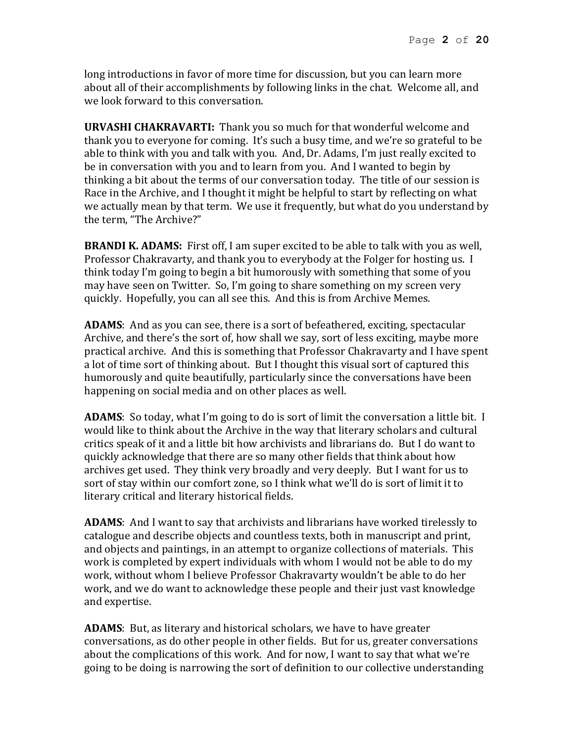long introductions in favor of more time for discussion, but you can learn more about all of their accomplishments by following links in the chat. Welcome all, and we look forward to this conversation.

**URVASHI CHAKRAVARTI:** Thank you so much for that wonderful welcome and thank you to everyone for coming. It's such a busy time, and we're so grateful to be able to think with you and talk with you. And, Dr. Adams, I'm just really excited to be in conversation with you and to learn from you. And I wanted to begin by thinking a bit about the terms of our conversation today. The title of our session is Race in the Archive, and I thought it might be helpful to start by reflecting on what we actually mean by that term. We use it frequently, but what do you understand by the term, "The Archive?"

**BRANDI K. ADAMS:** First off, I am super excited to be able to talk with you as well, Professor Chakravarty, and thank you to everybody at the Folger for hosting us. I think today I'm going to begin a bit humorously with something that some of you may have seen on Twitter. So, I'm going to share something on my screen very quickly. Hopefully, you can all see this. And this is from Archive Memes.

**ADAMS**: And as you can see, there is a sort of befeathered, exciting, spectacular Archive, and there's the sort of, how shall we say, sort of less exciting, maybe more practical archive. And this is something that Professor Chakravarty and I have spent a lot of time sort of thinking about. But I thought this visual sort of captured this humorously and quite beautifully, particularly since the conversations have been happening on social media and on other places as well.

**ADAMS**: So today, what I'm going to do is sort of limit the conversation a little bit. I would like to think about the Archive in the way that literary scholars and cultural critics speak of it and a little bit how archivists and librarians do. But I do want to quickly acknowledge that there are so many other fields that think about how archives get used. They think very broadly and very deeply. But I want for us to sort of stay within our comfort zone, so I think what we'll do is sort of limit it to literary critical and literary historical fields.

**ADAMS**: And I want to say that archivists and librarians have worked tirelessly to catalogue and describe objects and countless texts, both in manuscript and print, and objects and paintings, in an attempt to organize collections of materials. This work is completed by expert individuals with whom I would not be able to do my work, without whom I believe Professor Chakravarty wouldn't be able to do her work, and we do want to acknowledge these people and their just vast knowledge and expertise.

**ADAMS**: But, as literary and historical scholars, we have to have greater conversations, as do other people in other fields. But for us, greater conversations about the complications of this work. And for now, I want to say that what we're going to be doing is narrowing the sort of definition to our collective understanding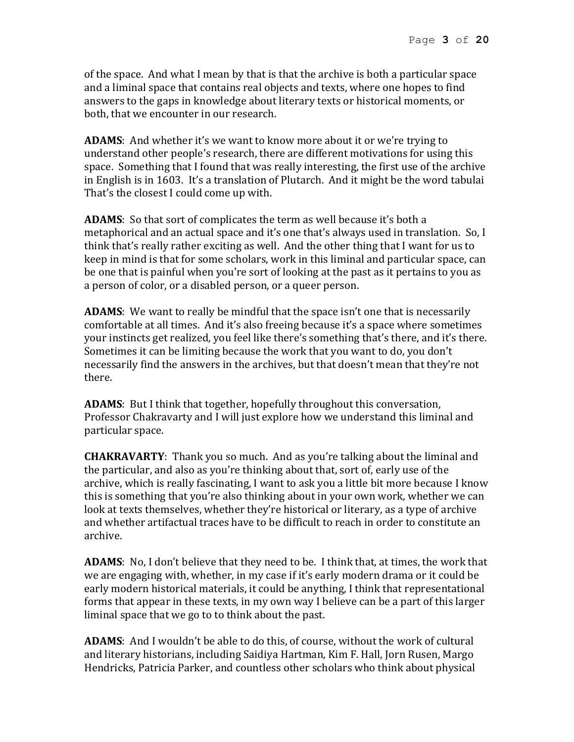of the space. And what I mean by that is that the archive is both a particular space and a liminal space that contains real objects and texts, where one hopes to find answers to the gaps in knowledge about literary texts or historical moments, or both, that we encounter in our research.

**ADAMS**: And whether it's we want to know more about it or we're trying to understand other people's research, there are different motivations for using this space. Something that I found that was really interesting, the first use of the archive in English is in 1603. It's a translation of Plutarch. And it might be the word tabulai That's the closest I could come up with.

**ADAMS**: So that sort of complicates the term as well because it's both a metaphorical and an actual space and it's one that's always used in translation. So, I think that's really rather exciting as well. And the other thing that I want for us to keep in mind is that for some scholars, work in this liminal and particular space, can be one that is painful when you're sort of looking at the past as it pertains to you as a person of color, or a disabled person, or a queer person.

**ADAMS**: We want to really be mindful that the space isn't one that is necessarily comfortable at all times. And it's also freeing because it's a space where sometimes your instincts get realized, you feel like there's something that's there, and it's there. Sometimes it can be limiting because the work that you want to do, you don't necessarily find the answers in the archives, but that doesn't mean that they're not there.

**ADAMS**: But I think that together, hopefully throughout this conversation, Professor Chakravarty and I will just explore how we understand this liminal and particular space.

**CHAKRAVARTY**: Thank you so much. And as you're talking about the liminal and the particular, and also as you're thinking about that, sort of, early use of the archive, which is really fascinating, I want to ask you a little bit more because I know this is something that you're also thinking about in your own work, whether we can look at texts themselves, whether they're historical or literary, as a type of archive and whether artifactual traces have to be difficult to reach in order to constitute an archive.

**ADAMS**: No, I don't believe that they need to be. I think that, at times, the work that we are engaging with, whether, in my case if it's early modern drama or it could be early modern historical materials, it could be anything, I think that representational forms that appear in these texts, in my own way I believe can be a part of this larger liminal space that we go to to think about the past.

**ADAMS**: And I wouldn't be able to do this, of course, without the work of cultural and literary historians, including Saidiya Hartman, Kim F. Hall, Jorn Rusen, Margo Hendricks, Patricia Parker, and countless other scholars who think about physical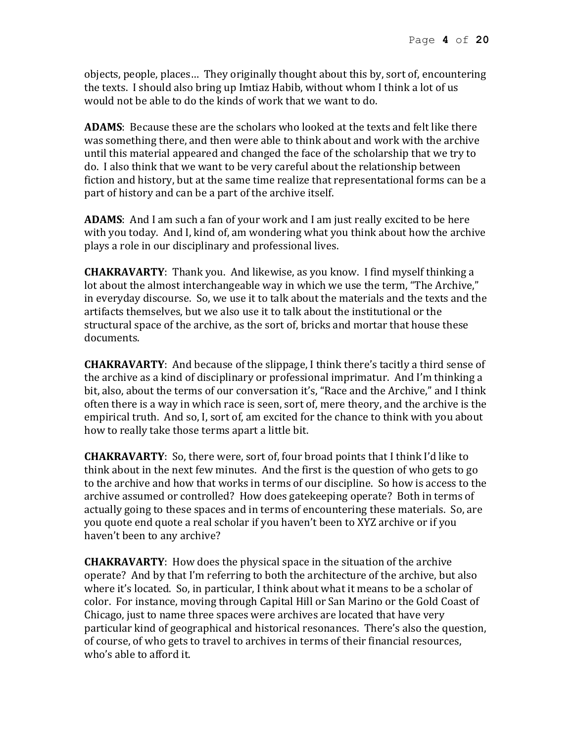objects, people, places… They originally thought about this by, sort of, encountering the texts. I should also bring up Imtiaz Habib, without whom I think a lot of us would not be able to do the kinds of work that we want to do.

**ADAMS**: Because these are the scholars who looked at the texts and felt like there was something there, and then were able to think about and work with the archive until this material appeared and changed the face of the scholarship that we try to do. I also think that we want to be very careful about the relationship between fiction and history, but at the same time realize that representational forms can be a part of history and can be a part of the archive itself.

**ADAMS**: And I am such a fan of your work and I am just really excited to be here with you today. And I, kind of, am wondering what you think about how the archive plays a role in our disciplinary and professional lives.

**CHAKRAVARTY**: Thank you. And likewise, as you know. I find myself thinking a lot about the almost interchangeable way in which we use the term, "The Archive," in everyday discourse. So, we use it to talk about the materials and the texts and the artifacts themselves, but we also use it to talk about the institutional or the structural space of the archive, as the sort of, bricks and mortar that house these documents.

**CHAKRAVARTY**: And because of the slippage, I think there's tacitly a third sense of the archive as a kind of disciplinary or professional imprimatur. And I'm thinking a bit, also, about the terms of our conversation it's, "Race and the Archive," and I think often there is a way in which race is seen, sort of, mere theory, and the archive is the empirical truth. And so, I, sort of, am excited for the chance to think with you about how to really take those terms apart a little bit.

**CHAKRAVARTY**: So, there were, sort of, four broad points that I think I'd like to think about in the next few minutes. And the first is the question of who gets to go to the archive and how that works in terms of our discipline. So how is access to the archive assumed or controlled? How does gatekeeping operate? Both in terms of actually going to these spaces and in terms of encountering these materials. So, are you quote end quote a real scholar if you haven't been to XYZ archive or if you haven't been to any archive?

**CHAKRAVARTY**: How does the physical space in the situation of the archive operate? And by that I'm referring to both the architecture of the archive, but also where it's located. So, in particular, I think about what it means to be a scholar of color. For instance, moving through Capital Hill or San Marino or the Gold Coast of Chicago, just to name three spaces were archives are located that have very particular kind of geographical and historical resonances. There's also the question, of course, of who gets to travel to archives in terms of their financial resources, who's able to afford it.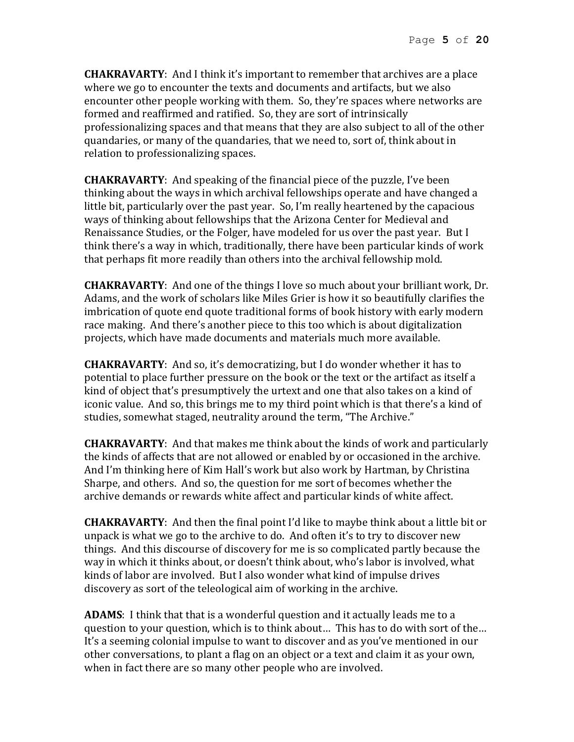**CHAKRAVARTY**: And I think it's important to remember that archives are a place where we go to encounter the texts and documents and artifacts, but we also encounter other people working with them. So, they're spaces where networks are formed and reaffirmed and ratified. So, they are sort of intrinsically professionalizing spaces and that means that they are also subject to all of the other quandaries, or many of the quandaries, that we need to, sort of, think about in relation to professionalizing spaces.

**CHAKRAVARTY**: And speaking of the financial piece of the puzzle, I've been thinking about the ways in which archival fellowships operate and have changed a little bit, particularly over the past year. So, I'm really heartened by the capacious ways of thinking about fellowships that the Arizona Center for Medieval and Renaissance Studies, or the Folger, have modeled for us over the past year. But I think there's a way in which, traditionally, there have been particular kinds of work that perhaps fit more readily than others into the archival fellowship mold.

**CHAKRAVARTY**: And one of the things I love so much about your brilliant work, Dr. Adams, and the work of scholars like Miles Grier is how it so beautifully clarifies the imbrication of quote end quote traditional forms of book history with early modern race making. And there's another piece to this too which is about digitalization projects, which have made documents and materials much more available.

**CHAKRAVARTY**: And so, it's democratizing, but I do wonder whether it has to potential to place further pressure on the book or the text or the artifact as itself a kind of object that's presumptively the urtext and one that also takes on a kind of iconic value. And so, this brings me to my third point which is that there's a kind of studies, somewhat staged, neutrality around the term, "The Archive."

**CHAKRAVARTY**: And that makes me think about the kinds of work and particularly the kinds of affects that are not allowed or enabled by or occasioned in the archive. And I'm thinking here of Kim Hall's work but also work by Hartman, by Christina Sharpe, and others. And so, the question for me sort of becomes whether the archive demands or rewards white affect and particular kinds of white affect.

**CHAKRAVARTY**: And then the final point I'd like to maybe think about a little bit or unpack is what we go to the archive to do. And often it's to try to discover new things. And this discourse of discovery for me is so complicated partly because the way in which it thinks about, or doesn't think about, who's labor is involved, what kinds of labor are involved. But I also wonder what kind of impulse drives discovery as sort of the teleological aim of working in the archive.

**ADAMS**: I think that that is a wonderful question and it actually leads me to a question to your question, which is to think about… This has to do with sort of the… It's a seeming colonial impulse to want to discover and as you've mentioned in our other conversations, to plant a flag on an object or a text and claim it as your own, when in fact there are so many other people who are involved.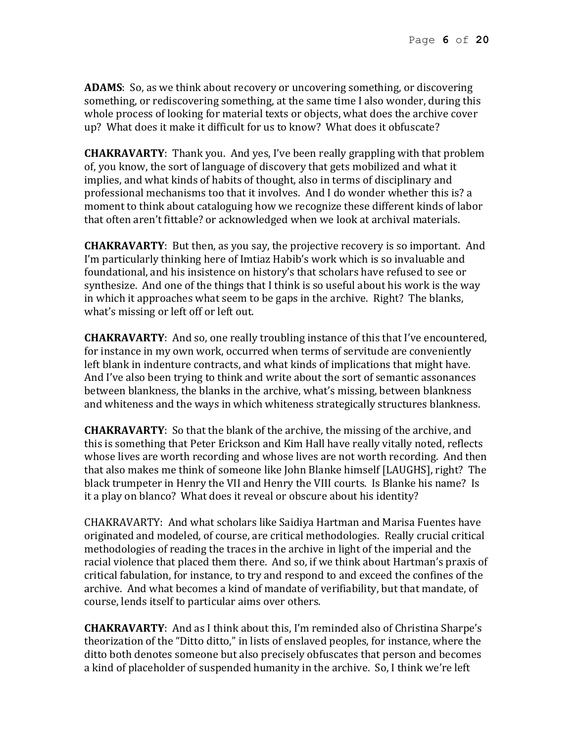**ADAMS**: So, as we think about recovery or uncovering something, or discovering something, or rediscovering something, at the same time I also wonder, during this whole process of looking for material texts or objects, what does the archive cover up? What does it make it difficult for us to know? What does it obfuscate?

**CHAKRAVARTY**: Thank you. And yes, I've been really grappling with that problem of, you know, the sort of language of discovery that gets mobilized and what it implies, and what kinds of habits of thought, also in terms of disciplinary and professional mechanisms too that it involves. And I do wonder whether this is? a moment to think about cataloguing how we recognize these different kinds of labor that often aren't fittable? or acknowledged when we look at archival materials.

**CHAKRAVARTY**: But then, as you say, the projective recovery is so important. And I'm particularly thinking here of Imtiaz Habib's work which is so invaluable and foundational, and his insistence on history's that scholars have refused to see or synthesize. And one of the things that I think is so useful about his work is the way in which it approaches what seem to be gaps in the archive. Right? The blanks, what's missing or left off or left out.

**CHAKRAVARTY**: And so, one really troubling instance of this that I've encountered, for instance in my own work, occurred when terms of servitude are conveniently left blank in indenture contracts, and what kinds of implications that might have. And I've also been trying to think and write about the sort of semantic assonances between blankness, the blanks in the archive, what's missing, between blankness and whiteness and the ways in which whiteness strategically structures blankness.

**CHAKRAVARTY**: So that the blank of the archive, the missing of the archive, and this is something that Peter Erickson and Kim Hall have really vitally noted, reflects whose lives are worth recording and whose lives are not worth recording. And then that also makes me think of someone like John Blanke himself [LAUGHS], right? The black trumpeter in Henry the VII and Henry the VIII courts. Is Blanke his name? Is it a play on blanco? What does it reveal or obscure about his identity?

CHAKRAVARTY: And what scholars like Saidiya Hartman and Marisa Fuentes have originated and modeled, of course, are critical methodologies. Really crucial critical methodologies of reading the traces in the archive in light of the imperial and the racial violence that placed them there. And so, if we think about Hartman's praxis of critical fabulation, for instance, to try and respond to and exceed the confines of the archive. And what becomes a kind of mandate of verifiability, but that mandate, of course, lends itself to particular aims over others.

**CHAKRAVARTY**: And as I think about this, I'm reminded also of Christina Sharpe's theorization of the "Ditto ditto," in lists of enslaved peoples, for instance, where the ditto both denotes someone but also precisely obfuscates that person and becomes a kind of placeholder of suspended humanity in the archive. So, I think we're left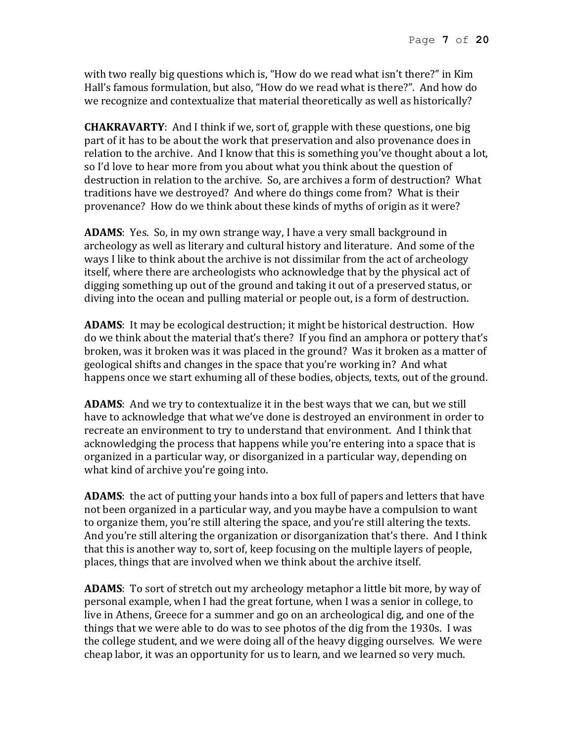with two really big questions which is, "How do we read what isn't there?" in Kim Hall's famous formulation, but also, "How do we read what is there?". And how do we recognize and contextualize that material theoretically as well as historically?

**CHAKRAVARTY**: And I think if we, sort of, grapple with these questions, one big part of it has to be about the work that preservation and also provenance does in relation to the archive. And I know that this is something you've thought about a lot, so I'd love to hear more from you about what you think about the question of destruction in relation to the archive. So, are archives a form of destruction? What traditions have we destroyed? And where do things come from? What is their provenance? How do we think about these kinds of myths of origin as it were?

**ADAMS**: Yes. So, in my own strange way, I have a very small background in archeology as well as literary and cultural history and literature. And some of the ways I like to think about the archive is not dissimilar from the act of archeology itself, where there are archeologists who acknowledge that by the physical act of digging something up out of the ground and taking it out of a preserved status, or diving into the ocean and pulling material or people out, is a form of destruction.

**ADAMS**: It may be ecological destruction; it might be historical destruction. How do we think about the material that's there? If you find an amphora or pottery that's broken, was it broken was it was placed in the ground? Was it broken as a matter of geological shifts and changes in the space that you're working in? And what happens once we start exhuming all of these bodies, objects, texts, out of the ground.

**ADAMS**: And we try to contextualize it in the best ways that we can, but we still have to acknowledge that what we've done is destroyed an environment in order to recreate an environment to try to understand that environment. And I think that acknowledging the process that happens while you're entering into a space that is organized in a particular way, or disorganized in a particular way, depending on what kind of archive you're going into.

**ADAMS**: the act of putting your hands into a box full of papers and letters that have not been organized in a particular way, and you maybe have a compulsion to want to organize them, you're still altering the space, and you're still altering the texts. And you're still altering the organization or disorganization that's there. And I think that this is another way to, sort of, keep focusing on the multiple layers of people, places, things that are involved when we think about the archive itself.

**ADAMS**: To sort of stretch out my archeology metaphor a little bit more, by way of personal example, when I had the great fortune, when I was a senior in college, to live in Athens, Greece for a summer and go on an archeological dig, and one of the things that we were able to do was to see photos of the dig from the 1930s. I was the college student, and we were doing all of the heavy digging ourselves. We were cheap labor, it was an opportunity for us to learn, and we learned so very much.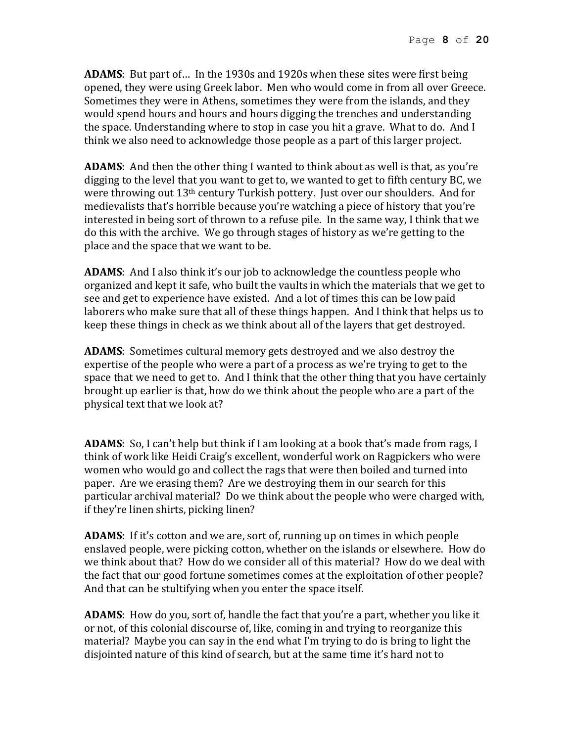**ADAMS**: But part of… In the 1930s and 1920s when these sites were first being opened, they were using Greek labor. Men who would come in from all over Greece. Sometimes they were in Athens, sometimes they were from the islands, and they would spend hours and hours and hours digging the trenches and understanding the space. Understanding where to stop in case you hit a grave. What to do. And I think we also need to acknowledge those people as a part of this larger project.

**ADAMS**: And then the other thing I wanted to think about as well is that, as you're digging to the level that you want to get to, we wanted to get to fifth century BC, we were throwing out 13th century Turkish pottery. Just over our shoulders. And for medievalists that's horrible because you're watching a piece of history that you're interested in being sort of thrown to a refuse pile. In the same way, I think that we do this with the archive. We go through stages of history as we're getting to the place and the space that we want to be.

**ADAMS**: And I also think it's our job to acknowledge the countless people who organized and kept it safe, who built the vaults in which the materials that we get to see and get to experience have existed. And a lot of times this can be low paid laborers who make sure that all of these things happen. And I think that helps us to keep these things in check as we think about all of the layers that get destroyed.

**ADAMS**: Sometimes cultural memory gets destroyed and we also destroy the expertise of the people who were a part of a process as we're trying to get to the space that we need to get to. And I think that the other thing that you have certainly brought up earlier is that, how do we think about the people who are a part of the physical text that we look at?

**ADAMS**: So, I can't help but think if I am looking at a book that's made from rags, I think of work like Heidi Craig's excellent, wonderful work on Ragpickers who were women who would go and collect the rags that were then boiled and turned into paper. Are we erasing them? Are we destroying them in our search for this particular archival material? Do we think about the people who were charged with, if they're linen shirts, picking linen?

**ADAMS**: If it's cotton and we are, sort of, running up on times in which people enslaved people, were picking cotton, whether on the islands or elsewhere. How do we think about that? How do we consider all of this material? How do we deal with the fact that our good fortune sometimes comes at the exploitation of other people? And that can be stultifying when you enter the space itself.

**ADAMS**: How do you, sort of, handle the fact that you're a part, whether you like it or not, of this colonial discourse of, like, coming in and trying to reorganize this material? Maybe you can say in the end what I'm trying to do is bring to light the disjointed nature of this kind of search, but at the same time it's hard not to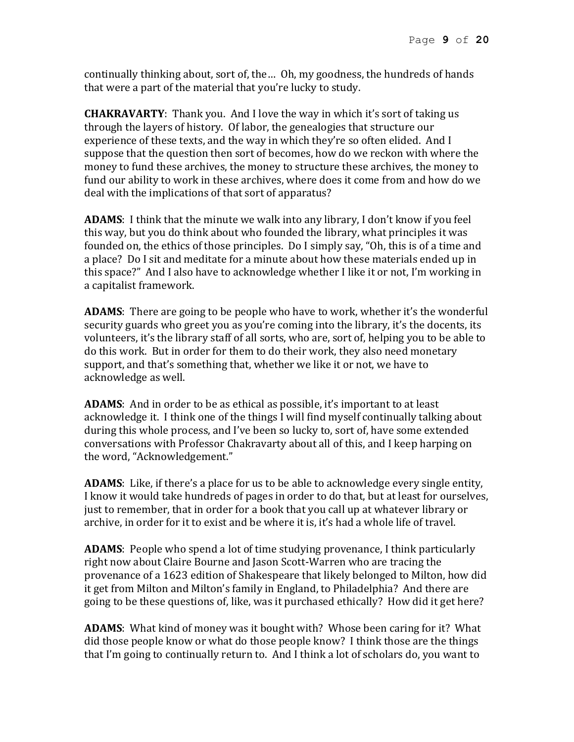continually thinking about, sort of, the… Oh, my goodness, the hundreds of hands that were a part of the material that you're lucky to study.

**CHAKRAVARTY**: Thank you. And I love the way in which it's sort of taking us through the layers of history. Of labor, the genealogies that structure our experience of these texts, and the way in which they're so often elided. And I suppose that the question then sort of becomes, how do we reckon with where the money to fund these archives, the money to structure these archives, the money to fund our ability to work in these archives, where does it come from and how do we deal with the implications of that sort of apparatus?

**ADAMS**: I think that the minute we walk into any library, I don't know if you feel this way, but you do think about who founded the library, what principles it was founded on, the ethics of those principles. Do I simply say, "Oh, this is of a time and a place? Do I sit and meditate for a minute about how these materials ended up in this space?" And I also have to acknowledge whether I like it or not, I'm working in a capitalist framework.

**ADAMS**: There are going to be people who have to work, whether it's the wonderful security guards who greet you as you're coming into the library, it's the docents, its volunteers, it's the library staff of all sorts, who are, sort of, helping you to be able to do this work. But in order for them to do their work, they also need monetary support, and that's something that, whether we like it or not, we have to acknowledge as well.

**ADAMS**: And in order to be as ethical as possible, it's important to at least acknowledge it. I think one of the things I will find myself continually talking about during this whole process, and I've been so lucky to, sort of, have some extended conversations with Professor Chakravarty about all of this, and I keep harping on the word, "Acknowledgement."

**ADAMS**: Like, if there's a place for us to be able to acknowledge every single entity, I know it would take hundreds of pages in order to do that, but at least for ourselves, just to remember, that in order for a book that you call up at whatever library or archive, in order for it to exist and be where it is, it's had a whole life of travel.

**ADAMS**: People who spend a lot of time studying provenance, I think particularly right now about Claire Bourne and Jason Scott-Warren who are tracing the provenance of a 1623 edition of Shakespeare that likely belonged to Milton, how did it get from Milton and Milton's family in England, to Philadelphia? And there are going to be these questions of, like, was it purchased ethically? How did it get here?

**ADAMS**: What kind of money was it bought with? Whose been caring for it? What did those people know or what do those people know? I think those are the things that I'm going to continually return to. And I think a lot of scholars do, you want to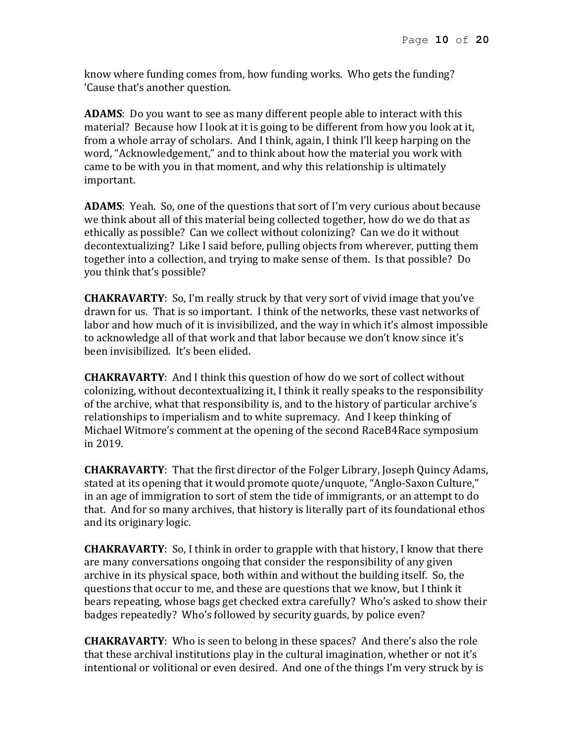know where funding comes from, how funding works. Who gets the funding? 'Cause that's another question.

**ADAMS**: Do you want to see as many different people able to interact with this material? Because how I look at it is going to be different from how you look at it, from a whole array of scholars. And I think, again, I think I'll keep harping on the word, "Acknowledgement," and to think about how the material you work with came to be with you in that moment, and why this relationship is ultimately important.

**ADAMS**: Yeah. So, one of the questions that sort of I'm very curious about because we think about all of this material being collected together, how do we do that as ethically as possible? Can we collect without colonizing? Can we do it without decontextualizing? Like I said before, pulling objects from wherever, putting them together into a collection, and trying to make sense of them. Is that possible? Do you think that's possible?

**CHAKRAVARTY**: So, I'm really struck by that very sort of vivid image that you've drawn for us. That is so important. I think of the networks, these vast networks of labor and how much of it is invisibilized, and the way in which it's almost impossible to acknowledge all of that work and that labor because we don't know since it's been invisibilized. It's been elided.

**CHAKRAVARTY**: And I think this question of how do we sort of collect without colonizing, without decontextualizing it, I think it really speaks to the responsibility of the archive, what that responsibility is, and to the history of particular archive's relationships to imperialism and to white supremacy. And I keep thinking of Michael Witmore's comment at the opening of the second RaceB4Race symposium in 2019.

**CHAKRAVARTY**: That the first director of the Folger Library, Joseph Quincy Adams, stated at its opening that it would promote quote/unquote, "Anglo-Saxon Culture," in an age of immigration to sort of stem the tide of immigrants, or an attempt to do that. And for so many archives, that history is literally part of its foundational ethos and its originary logic.

**CHAKRAVARTY**: So, I think in order to grapple with that history, I know that there are many conversations ongoing that consider the responsibility of any given archive in its physical space, both within and without the building itself. So, the questions that occur to me, and these are questions that we know, but I think it bears repeating, whose bags get checked extra carefully? Who's asked to show their badges repeatedly? Who's followed by security guards, by police even?

**CHAKRAVARTY**: Who is seen to belong in these spaces? And there's also the role that these archival institutions play in the cultural imagination, whether or not it's intentional or volitional or even desired. And one of the things I'm very struck by is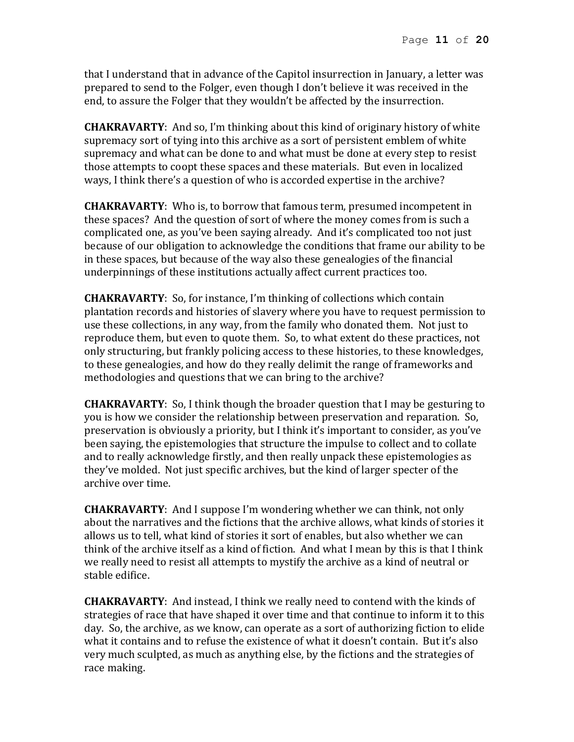that I understand that in advance of the Capitol insurrection in January, a letter was prepared to send to the Folger, even though I don't believe it was received in the end, to assure the Folger that they wouldn't be affected by the insurrection.

**CHAKRAVARTY**: And so, I'm thinking about this kind of originary history of white supremacy sort of tying into this archive as a sort of persistent emblem of white supremacy and what can be done to and what must be done at every step to resist those attempts to coopt these spaces and these materials. But even in localized ways, I think there's a question of who is accorded expertise in the archive?

**CHAKRAVARTY**: Who is, to borrow that famous term, presumed incompetent in these spaces? And the question of sort of where the money comes from is such a complicated one, as you've been saying already. And it's complicated too not just because of our obligation to acknowledge the conditions that frame our ability to be in these spaces, but because of the way also these genealogies of the financial underpinnings of these institutions actually affect current practices too.

**CHAKRAVARTY**: So, for instance, I'm thinking of collections which contain plantation records and histories of slavery where you have to request permission to use these collections, in any way, from the family who donated them. Not just to reproduce them, but even to quote them. So, to what extent do these practices, not only structuring, but frankly policing access to these histories, to these knowledges, to these genealogies, and how do they really delimit the range of frameworks and methodologies and questions that we can bring to the archive?

**CHAKRAVARTY**: So, I think though the broader question that I may be gesturing to you is how we consider the relationship between preservation and reparation. So, preservation is obviously a priority, but I think it's important to consider, as you've been saying, the epistemologies that structure the impulse to collect and to collate and to really acknowledge firstly, and then really unpack these epistemologies as they've molded. Not just specific archives, but the kind of larger specter of the archive over time.

**CHAKRAVARTY**: And I suppose I'm wondering whether we can think, not only about the narratives and the fictions that the archive allows, what kinds of stories it allows us to tell, what kind of stories it sort of enables, but also whether we can think of the archive itself as a kind of fiction. And what I mean by this is that I think we really need to resist all attempts to mystify the archive as a kind of neutral or stable edifice.

**CHAKRAVARTY**: And instead, I think we really need to contend with the kinds of strategies of race that have shaped it over time and that continue to inform it to this day. So, the archive, as we know, can operate as a sort of authorizing fiction to elide what it contains and to refuse the existence of what it doesn't contain. But it's also very much sculpted, as much as anything else, by the fictions and the strategies of race making.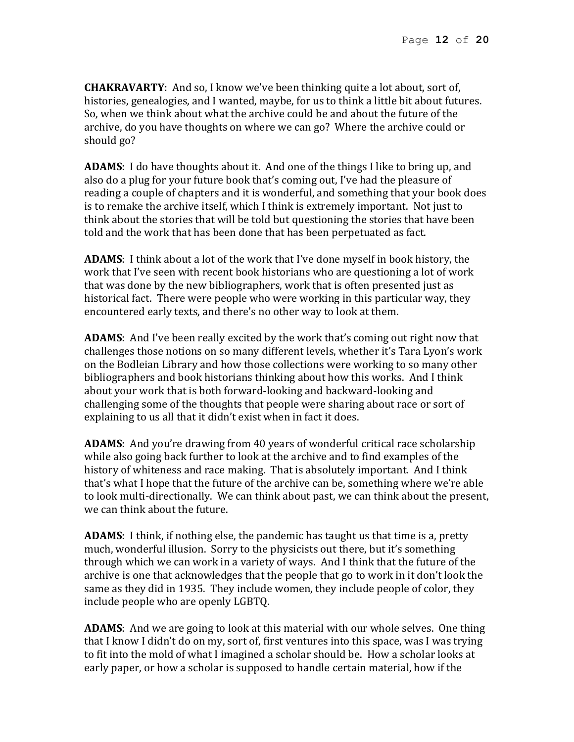**CHAKRAVARTY**: And so, I know we've been thinking quite a lot about, sort of, histories, genealogies, and I wanted, maybe, for us to think a little bit about futures. So, when we think about what the archive could be and about the future of the archive, do you have thoughts on where we can go? Where the archive could or should go?

**ADAMS**: I do have thoughts about it. And one of the things I like to bring up, and also do a plug for your future book that's coming out, I've had the pleasure of reading a couple of chapters and it is wonderful, and something that your book does is to remake the archive itself, which I think is extremely important. Not just to think about the stories that will be told but questioning the stories that have been told and the work that has been done that has been perpetuated as fact.

**ADAMS**: I think about a lot of the work that I've done myself in book history, the work that I've seen with recent book historians who are questioning a lot of work that was done by the new bibliographers, work that is often presented just as historical fact. There were people who were working in this particular way, they encountered early texts, and there's no other way to look at them.

**ADAMS**: And I've been really excited by the work that's coming out right now that challenges those notions on so many different levels, whether it's Tara Lyon's work on the Bodleian Library and how those collections were working to so many other bibliographers and book historians thinking about how this works. And I think about your work that is both forward-looking and backward-looking and challenging some of the thoughts that people were sharing about race or sort of explaining to us all that it didn't exist when in fact it does.

**ADAMS**: And you're drawing from 40 years of wonderful critical race scholarship while also going back further to look at the archive and to find examples of the history of whiteness and race making. That is absolutely important. And I think that's what I hope that the future of the archive can be, something where we're able to look multi-directionally. We can think about past, we can think about the present, we can think about the future.

**ADAMS**: I think, if nothing else, the pandemic has taught us that time is a, pretty much, wonderful illusion. Sorry to the physicists out there, but it's something through which we can work in a variety of ways. And I think that the future of the archive is one that acknowledges that the people that go to work in it don't look the same as they did in 1935. They include women, they include people of color, they include people who are openly LGBTQ.

**ADAMS**: And we are going to look at this material with our whole selves. One thing that I know I didn't do on my, sort of, first ventures into this space, was I was trying to fit into the mold of what I imagined a scholar should be. How a scholar looks at early paper, or how a scholar is supposed to handle certain material, how if the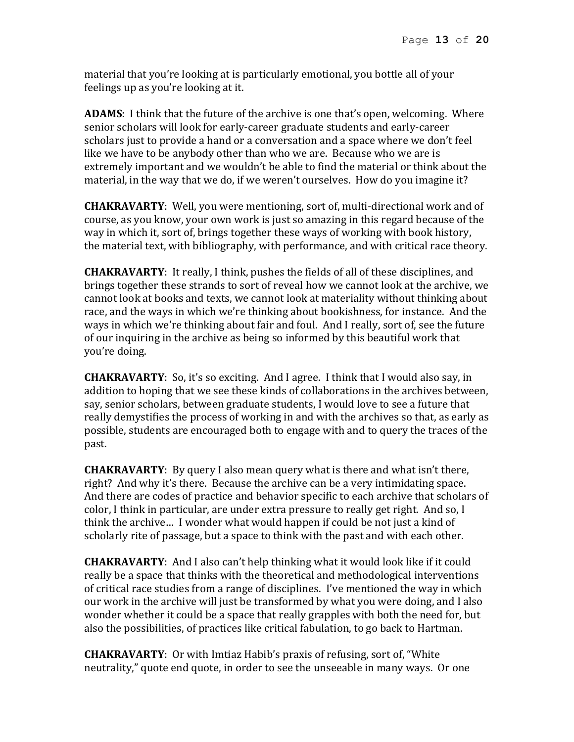material that you're looking at is particularly emotional, you bottle all of your feelings up as you're looking at it.

**ADAMS**: I think that the future of the archive is one that's open, welcoming. Where senior scholars will look for early-career graduate students and early-career scholars just to provide a hand or a conversation and a space where we don't feel like we have to be anybody other than who we are. Because who we are is extremely important and we wouldn't be able to find the material or think about the material, in the way that we do, if we weren't ourselves. How do you imagine it?

**CHAKRAVARTY**: Well, you were mentioning, sort of, multi-directional work and of course, as you know, your own work is just so amazing in this regard because of the way in which it, sort of, brings together these ways of working with book history, the material text, with bibliography, with performance, and with critical race theory.

**CHAKRAVARTY**: It really, I think, pushes the fields of all of these disciplines, and brings together these strands to sort of reveal how we cannot look at the archive, we cannot look at books and texts, we cannot look at materiality without thinking about race, and the ways in which we're thinking about bookishness, for instance. And the ways in which we're thinking about fair and foul. And I really, sort of, see the future of our inquiring in the archive as being so informed by this beautiful work that you're doing.

**CHAKRAVARTY**: So, it's so exciting. And I agree. I think that I would also say, in addition to hoping that we see these kinds of collaborations in the archives between, say, senior scholars, between graduate students, I would love to see a future that really demystifies the process of working in and with the archives so that, as early as possible, students are encouraged both to engage with and to query the traces of the past.

**CHAKRAVARTY**: By query I also mean query what is there and what isn't there, right? And why it's there. Because the archive can be a very intimidating space. And there are codes of practice and behavior specific to each archive that scholars of color, I think in particular, are under extra pressure to really get right. And so, I think the archive… I wonder what would happen if could be not just a kind of scholarly rite of passage, but a space to think with the past and with each other.

**CHAKRAVARTY**: And I also can't help thinking what it would look like if it could really be a space that thinks with the theoretical and methodological interventions of critical race studies from a range of disciplines. I've mentioned the way in which our work in the archive will just be transformed by what you were doing, and I also wonder whether it could be a space that really grapples with both the need for, but also the possibilities, of practices like critical fabulation, to go back to Hartman.

**CHAKRAVARTY**: Or with Imtiaz Habib's praxis of refusing, sort of, "White neutrality," quote end quote, in order to see the unseeable in many ways. Or one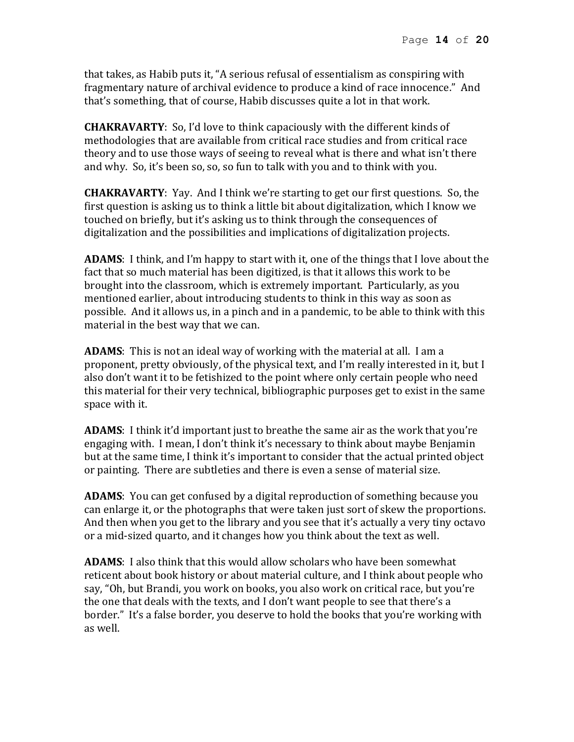that takes, as Habib puts it, "A serious refusal of essentialism as conspiring with fragmentary nature of archival evidence to produce a kind of race innocence." And that's something, that of course, Habib discusses quite a lot in that work.

**CHAKRAVARTY**: So, I'd love to think capaciously with the different kinds of methodologies that are available from critical race studies and from critical race theory and to use those ways of seeing to reveal what is there and what isn't there and why. So, it's been so, so, so fun to talk with you and to think with you.

**CHAKRAVARTY**: Yay. And I think we're starting to get our first questions. So, the first question is asking us to think a little bit about digitalization, which I know we touched on briefly, but it's asking us to think through the consequences of digitalization and the possibilities and implications of digitalization projects.

**ADAMS**: I think, and I'm happy to start with it, one of the things that I love about the fact that so much material has been digitized, is that it allows this work to be brought into the classroom, which is extremely important. Particularly, as you mentioned earlier, about introducing students to think in this way as soon as possible. And it allows us, in a pinch and in a pandemic, to be able to think with this material in the best way that we can.

**ADAMS**: This is not an ideal way of working with the material at all. I am a proponent, pretty obviously, of the physical text, and I'm really interested in it, but I also don't want it to be fetishized to the point where only certain people who need this material for their very technical, bibliographic purposes get to exist in the same space with it.

**ADAMS**: I think it'd important just to breathe the same air as the work that you're engaging with. I mean, I don't think it's necessary to think about maybe Benjamin but at the same time, I think it's important to consider that the actual printed object or painting. There are subtleties and there is even a sense of material size.

**ADAMS**: You can get confused by a digital reproduction of something because you can enlarge it, or the photographs that were taken just sort of skew the proportions. And then when you get to the library and you see that it's actually a very tiny octavo or a mid-sized quarto, and it changes how you think about the text as well.

**ADAMS**: I also think that this would allow scholars who have been somewhat reticent about book history or about material culture, and I think about people who say, "Oh, but Brandi, you work on books, you also work on critical race, but you're the one that deals with the texts, and I don't want people to see that there's a border." It's a false border, you deserve to hold the books that you're working with as well.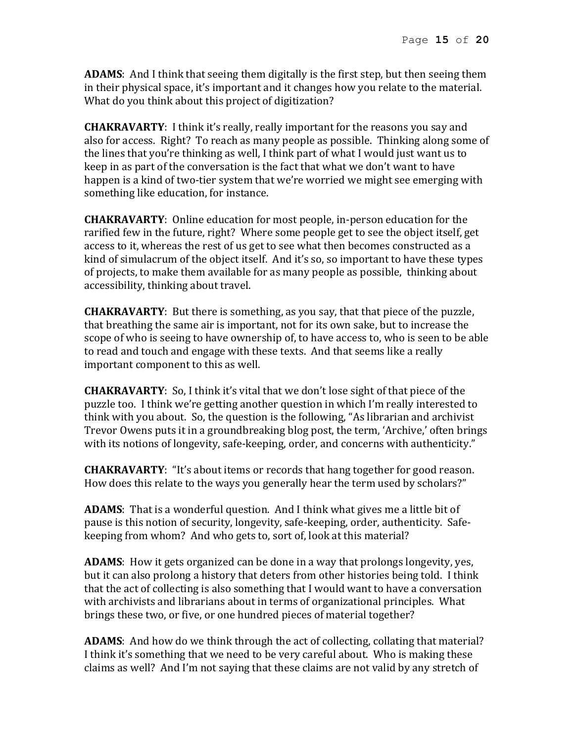**ADAMS**: And I think that seeing them digitally is the first step, but then seeing them in their physical space, it's important and it changes how you relate to the material. What do you think about this project of digitization?

**CHAKRAVARTY**: I think it's really, really important for the reasons you say and also for access. Right? To reach as many people as possible. Thinking along some of the lines that you're thinking as well, I think part of what I would just want us to keep in as part of the conversation is the fact that what we don't want to have happen is a kind of two-tier system that we're worried we might see emerging with something like education, for instance.

**CHAKRAVARTY**: Online education for most people, in-person education for the rarified few in the future, right? Where some people get to see the object itself, get access to it, whereas the rest of us get to see what then becomes constructed as a kind of simulacrum of the object itself. And it's so, so important to have these types of projects, to make them available for as many people as possible, thinking about accessibility, thinking about travel.

**CHAKRAVARTY**: But there is something, as you say, that that piece of the puzzle, that breathing the same air is important, not for its own sake, but to increase the scope of who is seeing to have ownership of, to have access to, who is seen to be able to read and touch and engage with these texts. And that seems like a really important component to this as well.

**CHAKRAVARTY**: So, I think it's vital that we don't lose sight of that piece of the puzzle too. I think we're getting another question in which I'm really interested to think with you about. So, the question is the following, "As librarian and archivist Trevor Owens puts it in a groundbreaking blog post, the term, 'Archive,' often brings with its notions of longevity, safe-keeping, order, and concerns with authenticity."

**CHAKRAVARTY**: "It's about items or records that hang together for good reason. How does this relate to the ways you generally hear the term used by scholars?"

**ADAMS**: That is a wonderful question. And I think what gives me a little bit of pause is this notion of security, longevity, safe-keeping, order, authenticity. Safekeeping from whom? And who gets to, sort of, look at this material?

**ADAMS**: How it gets organized can be done in a way that prolongs longevity, yes, but it can also prolong a history that deters from other histories being told. I think that the act of collecting is also something that I would want to have a conversation with archivists and librarians about in terms of organizational principles. What brings these two, or five, or one hundred pieces of material together?

**ADAMS**: And how do we think through the act of collecting, collating that material? I think it's something that we need to be very careful about. Who is making these claims as well? And I'm not saying that these claims are not valid by any stretch of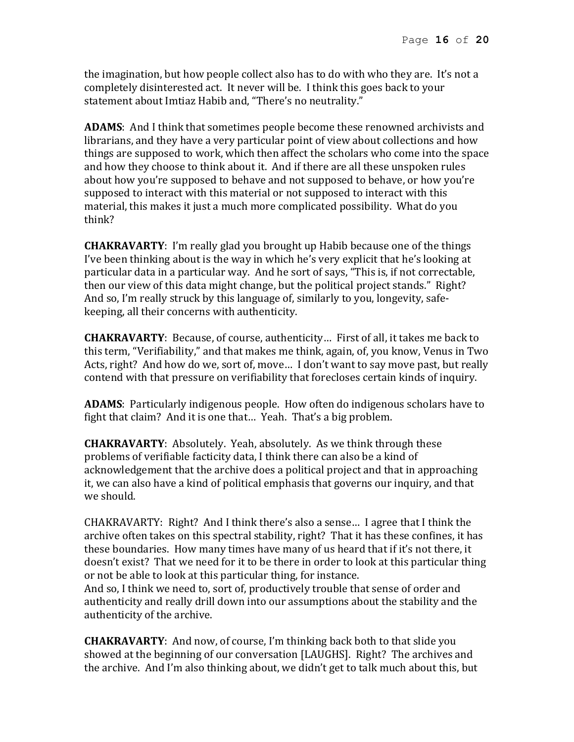the imagination, but how people collect also has to do with who they are. It's not a completely disinterested act. It never will be. I think this goes back to your statement about Imtiaz Habib and, "There's no neutrality."

**ADAMS**: And I think that sometimes people become these renowned archivists and librarians, and they have a very particular point of view about collections and how things are supposed to work, which then affect the scholars who come into the space and how they choose to think about it. And if there are all these unspoken rules about how you're supposed to behave and not supposed to behave, or how you're supposed to interact with this material or not supposed to interact with this material, this makes it just a much more complicated possibility. What do you think?

**CHAKRAVARTY**: I'm really glad you brought up Habib because one of the things I've been thinking about is the way in which he's very explicit that he's looking at particular data in a particular way. And he sort of says, "This is, if not correctable, then our view of this data might change, but the political project stands." Right? And so, I'm really struck by this language of, similarly to you, longevity, safekeeping, all their concerns with authenticity.

**CHAKRAVARTY**: Because, of course, authenticity… First of all, it takes me back to this term, "Verifiability," and that makes me think, again, of, you know, Venus in Two Acts, right? And how do we, sort of, move… I don't want to say move past, but really contend with that pressure on verifiability that forecloses certain kinds of inquiry.

**ADAMS**: Particularly indigenous people. How often do indigenous scholars have to fight that claim? And it is one that… Yeah. That's a big problem.

**CHAKRAVARTY**: Absolutely. Yeah, absolutely. As we think through these problems of verifiable facticity data, I think there can also be a kind of acknowledgement that the archive does a political project and that in approaching it, we can also have a kind of political emphasis that governs our inquiry, and that we should.

CHAKRAVARTY: Right? And I think there's also a sense… I agree that I think the archive often takes on this spectral stability, right? That it has these confines, it has these boundaries. How many times have many of us heard that if it's not there, it doesn't exist? That we need for it to be there in order to look at this particular thing or not be able to look at this particular thing, for instance.

And so, I think we need to, sort of, productively trouble that sense of order and authenticity and really drill down into our assumptions about the stability and the authenticity of the archive.

**CHAKRAVARTY**: And now, of course, I'm thinking back both to that slide you showed at the beginning of our conversation [LAUGHS]. Right? The archives and the archive. And I'm also thinking about, we didn't get to talk much about this, but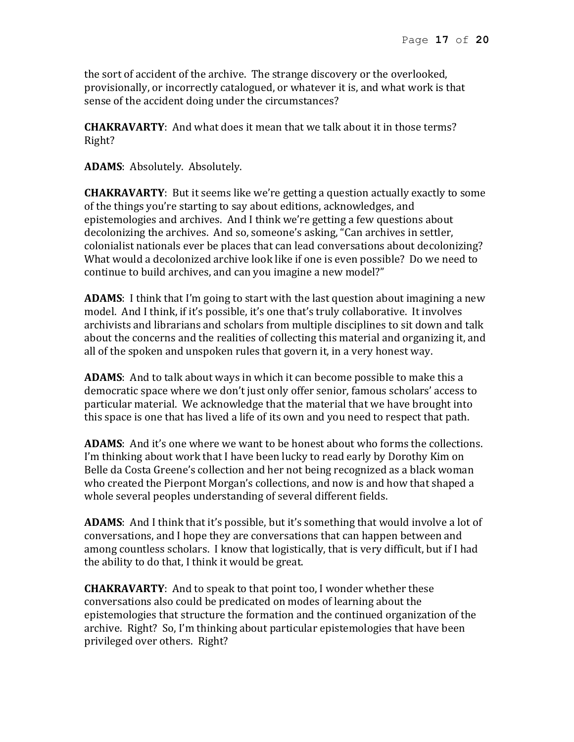the sort of accident of the archive. The strange discovery or the overlooked, provisionally, or incorrectly catalogued, or whatever it is, and what work is that sense of the accident doing under the circumstances?

**CHAKRAVARTY**: And what does it mean that we talk about it in those terms? Right?

**ADAMS**: Absolutely. Absolutely.

**CHAKRAVARTY**: But it seems like we're getting a question actually exactly to some of the things you're starting to say about editions, acknowledges, and epistemologies and archives. And I think we're getting a few questions about decolonizing the archives. And so, someone's asking, "Can archives in settler, colonialist nationals ever be places that can lead conversations about decolonizing? What would a decolonized archive look like if one is even possible? Do we need to continue to build archives, and can you imagine a new model?"

**ADAMS**: I think that I'm going to start with the last question about imagining a new model. And I think, if it's possible, it's one that's truly collaborative. It involves archivists and librarians and scholars from multiple disciplines to sit down and talk about the concerns and the realities of collecting this material and organizing it, and all of the spoken and unspoken rules that govern it, in a very honest way.

**ADAMS**: And to talk about ways in which it can become possible to make this a democratic space where we don't just only offer senior, famous scholars' access to particular material. We acknowledge that the material that we have brought into this space is one that has lived a life of its own and you need to respect that path.

**ADAMS**: And it's one where we want to be honest about who forms the collections. I'm thinking about work that I have been lucky to read early by Dorothy Kim on Belle da Costa Greene's collection and her not being recognized as a black woman who created the Pierpont Morgan's collections, and now is and how that shaped a whole several peoples understanding of several different fields.

**ADAMS**: And I think that it's possible, but it's something that would involve a lot of conversations, and I hope they are conversations that can happen between and among countless scholars. I know that logistically, that is very difficult, but if I had the ability to do that, I think it would be great.

**CHAKRAVARTY**: And to speak to that point too, I wonder whether these conversations also could be predicated on modes of learning about the epistemologies that structure the formation and the continued organization of the archive. Right? So, I'm thinking about particular epistemologies that have been privileged over others. Right?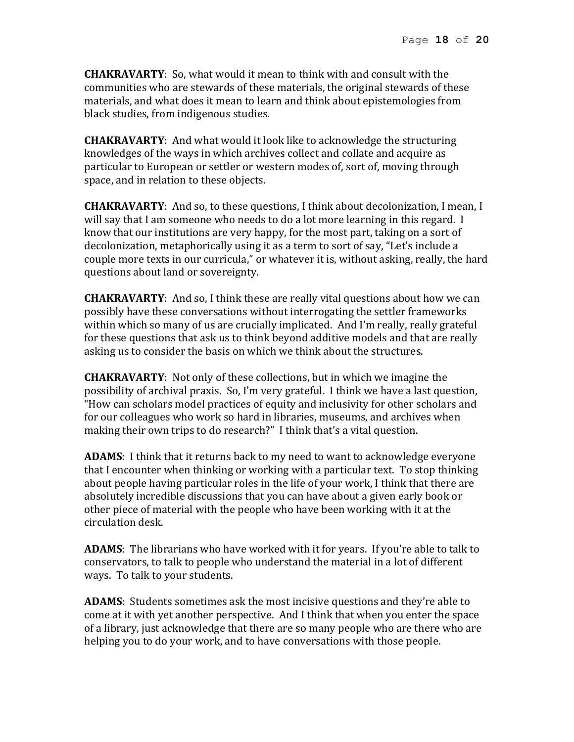**CHAKRAVARTY**: So, what would it mean to think with and consult with the communities who are stewards of these materials, the original stewards of these materials, and what does it mean to learn and think about epistemologies from black studies, from indigenous studies.

**CHAKRAVARTY**: And what would it look like to acknowledge the structuring knowledges of the ways in which archives collect and collate and acquire as particular to European or settler or western modes of, sort of, moving through space, and in relation to these objects.

**CHAKRAVARTY**: And so, to these questions, I think about decolonization, I mean, I will say that I am someone who needs to do a lot more learning in this regard. I know that our institutions are very happy, for the most part, taking on a sort of decolonization, metaphorically using it as a term to sort of say, "Let's include a couple more texts in our curricula," or whatever it is, without asking, really, the hard questions about land or sovereignty.

**CHAKRAVARTY**: And so, I think these are really vital questions about how we can possibly have these conversations without interrogating the settler frameworks within which so many of us are crucially implicated. And I'm really, really grateful for these questions that ask us to think beyond additive models and that are really asking us to consider the basis on which we think about the structures.

**CHAKRAVARTY**: Not only of these collections, but in which we imagine the possibility of archival praxis. So, I'm very grateful. I think we have a last question, "How can scholars model practices of equity and inclusivity for other scholars and for our colleagues who work so hard in libraries, museums, and archives when making their own trips to do research?" I think that's a vital question.

**ADAMS**: I think that it returns back to my need to want to acknowledge everyone that I encounter when thinking or working with a particular text. To stop thinking about people having particular roles in the life of your work, I think that there are absolutely incredible discussions that you can have about a given early book or other piece of material with the people who have been working with it at the circulation desk.

**ADAMS**: The librarians who have worked with it for years. If you're able to talk to conservators, to talk to people who understand the material in a lot of different ways. To talk to your students.

**ADAMS**: Students sometimes ask the most incisive questions and they're able to come at it with yet another perspective. And I think that when you enter the space of a library, just acknowledge that there are so many people who are there who are helping you to do your work, and to have conversations with those people.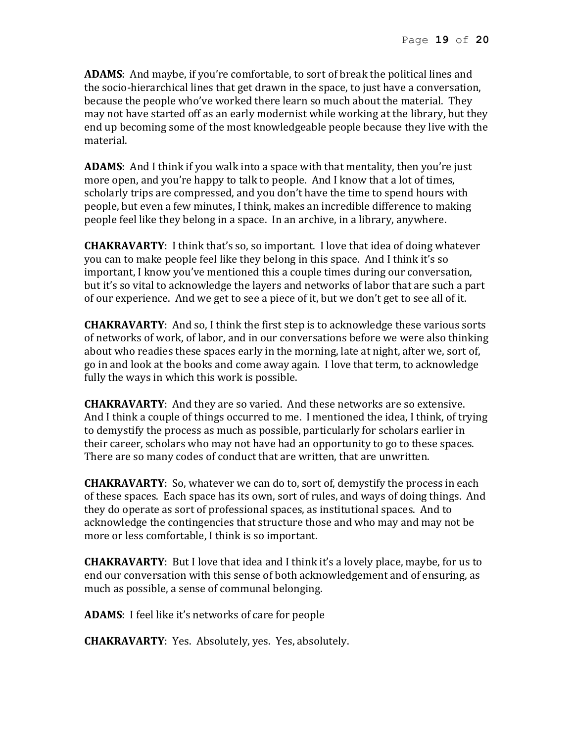**ADAMS**: And maybe, if you're comfortable, to sort of break the political lines and the socio-hierarchical lines that get drawn in the space, to just have a conversation, because the people who've worked there learn so much about the material. They may not have started off as an early modernist while working at the library, but they end up becoming some of the most knowledgeable people because they live with the material.

**ADAMS**: And I think if you walk into a space with that mentality, then you're just more open, and you're happy to talk to people. And I know that a lot of times, scholarly trips are compressed, and you don't have the time to spend hours with people, but even a few minutes, I think, makes an incredible difference to making people feel like they belong in a space. In an archive, in a library, anywhere.

**CHAKRAVARTY**: I think that's so, so important. I love that idea of doing whatever you can to make people feel like they belong in this space. And I think it's so important, I know you've mentioned this a couple times during our conversation, but it's so vital to acknowledge the layers and networks of labor that are such a part of our experience. And we get to see a piece of it, but we don't get to see all of it.

**CHAKRAVARTY**: And so, I think the first step is to acknowledge these various sorts of networks of work, of labor, and in our conversations before we were also thinking about who readies these spaces early in the morning, late at night, after we, sort of, go in and look at the books and come away again. I love that term, to acknowledge fully the ways in which this work is possible.

**CHAKRAVARTY**: And they are so varied. And these networks are so extensive. And I think a couple of things occurred to me. I mentioned the idea, I think, of trying to demystify the process as much as possible, particularly for scholars earlier in their career, scholars who may not have had an opportunity to go to these spaces. There are so many codes of conduct that are written, that are unwritten.

**CHAKRAVARTY**: So, whatever we can do to, sort of, demystify the process in each of these spaces. Each space has its own, sort of rules, and ways of doing things. And they do operate as sort of professional spaces, as institutional spaces. And to acknowledge the contingencies that structure those and who may and may not be more or less comfortable, I think is so important.

**CHAKRAVARTY**: But I love that idea and I think it's a lovely place, maybe, for us to end our conversation with this sense of both acknowledgement and of ensuring, as much as possible, a sense of communal belonging.

**ADAMS**: I feel like it's networks of care for people

**CHAKRAVARTY**: Yes. Absolutely, yes. Yes, absolutely.